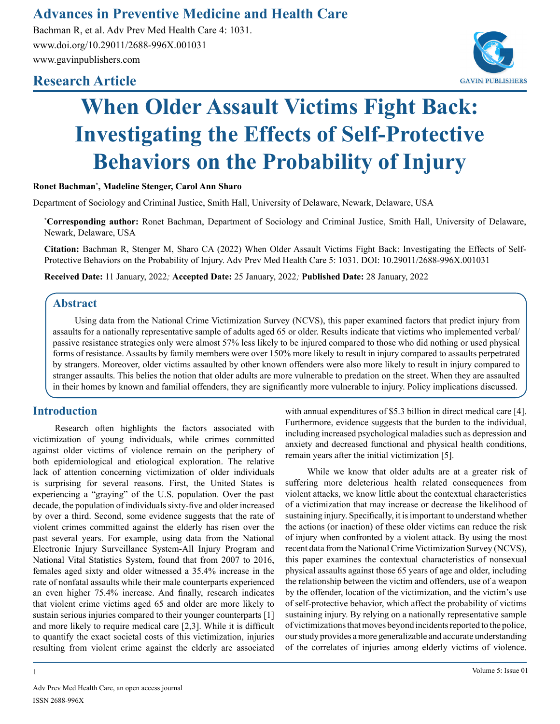# **Advances in Preventive Medicine and Health Care**

Bachman R, et al. Adv Prev Med Health Care 4: 1031. www.doi.org/10.29011/2688-996X.001031 www.gavinpublishers.com

# **Research Article**



# **When Older Assault Victims Fight Back: Investigating the Effects of Self-Protective Behaviors on the Probability of Injury**

#### **Ronet Bachman\* , Madeline Stenger, Carol Ann Sharo**

Department of Sociology and Criminal Justice, Smith Hall, University of Delaware, Newark, Delaware, USA

**\* Corresponding author:** Ronet Bachman, Department of Sociology and Criminal Justice, Smith Hall, University of Delaware, Newark, Delaware, USA

**Citation:** Bachman R, Stenger M, Sharo CA (2022) When Older Assault Victims Fight Back: Investigating the Effects of Self-Protective Behaviors on the Probability of Injury. Adv Prev Med Health Care 5: 1031. DOI: 10.29011/2688-996X.001031

**Received Date:** 11 January, 2022*;* **Accepted Date:** 25 January, 2022*;* **Published Date:** 28 January, 2022

## **Abstract**

Using data from the National Crime Victimization Survey (NCVS), this paper examined factors that predict injury from assaults for a nationally representative sample of adults aged 65 or older. Results indicate that victims who implemented verbal/ passive resistance strategies only were almost 57% less likely to be injured compared to those who did nothing or used physical forms of resistance. Assaults by family members were over 150% more likely to result in injury compared to assaults perpetrated by strangers. Moreover, older victims assaulted by other known offenders were also more likely to result in injury compared to stranger assaults. This belies the notion that older adults are more vulnerable to predation on the street. When they are assaulted in their homes by known and familial offenders, they are significantly more vulnerable to injury. Policy implications discussed.

# **Introduction**

Research often highlights the factors associated with victimization of young individuals, while crimes committed against older victims of violence remain on the periphery of both epidemiological and etiological exploration. The relative lack of attention concerning victimization of older individuals is surprising for several reasons. First, the United States is experiencing a "graying" of the U.S. population. Over the past decade, the population of individuals sixty-five and older increased by over a third. Second, some evidence suggests that the rate of violent crimes committed against the elderly has risen over the past several years. For example, using data from the National Electronic Injury Surveillance System-All Injury Program and National Vital Statistics System, found that from 2007 to 2016, females aged sixty and older witnessed a 35.4% increase in the rate of nonfatal assaults while their male counterparts experienced an even higher 75.4% increase. And finally, research indicates that violent crime victims aged 65 and older are more likely to sustain serious injuries compared to their younger counterparts [1] and more likely to require medical care [2,3]. While it is difficult to quantify the exact societal costs of this victimization, injuries resulting from violent crime against the elderly are associated

Adv Prev Med Health Care, an open access journal ISSN 2688-996X

with annual expenditures of \$5.3 billion in direct medical care [4]. Furthermore, evidence suggests that the burden to the individual, including increased psychological maladies such as depression and anxiety and decreased functional and physical health conditions, remain years after the initial victimization [5].

While we know that older adults are at a greater risk of suffering more deleterious health related consequences from violent attacks, we know little about the contextual characteristics of a victimization that may increase or decrease the likelihood of sustaining injury. Specifically, it is important to understand whether the actions (or inaction) of these older victims can reduce the risk of injury when confronted by a violent attack. By using the most recent data from the National Crime Victimization Survey (NCVS), this paper examines the contextual characteristics of nonsexual physical assaults against those 65 years of age and older, including the relationship between the victim and offenders, use of a weapon by the offender, location of the victimization, and the victim's use of self-protective behavior, which affect the probability of victims sustaining injury. By relying on a nationally representative sample of victimizations that moves beyond incidents reported to the police, our study provides a more generalizable and accurate understanding of the correlates of injuries among elderly victims of violence.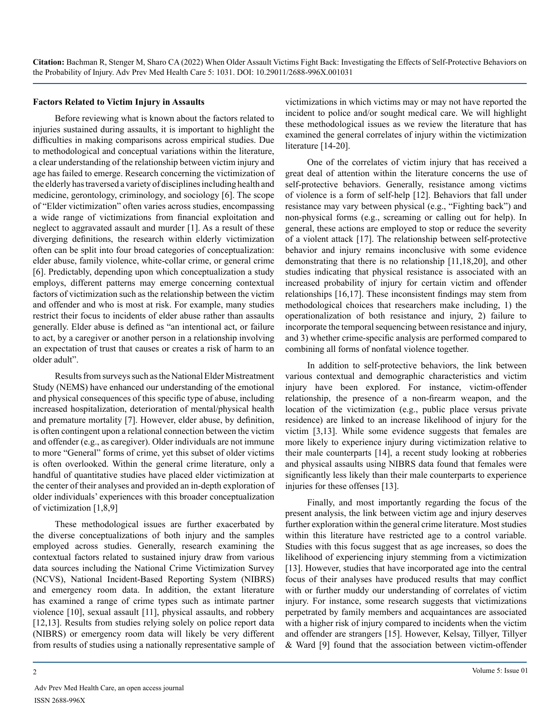#### **Factors Related to Victim Injury in Assaults**

Before reviewing what is known about the factors related to injuries sustained during assaults, it is important to highlight the difficulties in making comparisons across empirical studies. Due to methodological and conceptual variations within the literature, a clear understanding of the relationship between victim injury and age has failed to emerge. Research concerning the victimization of the elderly has traversed a variety of disciplines including health and medicine, gerontology, criminology, and sociology [6]. The scope of "Elder victimization" often varies across studies, encompassing a wide range of victimizations from financial exploitation and neglect to aggravated assault and murder [1]. As a result of these diverging definitions, the research within elderly victimization often can be split into four broad categories of conceptualization: elder abuse, family violence, white-collar crime, or general crime [6]. Predictably, depending upon which conceptualization a study employs, different patterns may emerge concerning contextual factors of victimization such as the relationship between the victim and offender and who is most at risk. For example, many studies restrict their focus to incidents of elder abuse rather than assaults generally. Elder abuse is defined as "an intentional act, or failure to act, by a caregiver or another person in a relationship involving an expectation of trust that causes or creates a risk of harm to an older adult".

Results from surveys such as the National Elder Mistreatment Study (NEMS) have enhanced our understanding of the emotional and physical consequences of this specific type of abuse, including increased hospitalization, deterioration of mental/physical health and premature mortality [7]. However, elder abuse, by definition, is often contingent upon a relational connection between the victim and offender (e.g., as caregiver). Older individuals are not immune to more "General" forms of crime, yet this subset of older victims is often overlooked. Within the general crime literature, only a handful of quantitative studies have placed elder victimization at the center of their analyses and provided an in-depth exploration of older individuals' experiences with this broader conceptualization of victimization [1,8,9]

These methodological issues are further exacerbated by the diverse conceptualizations of both injury and the samples employed across studies. Generally, research examining the contextual factors related to sustained injury draw from various data sources including the National Crime Victimization Survey (NCVS), National Incident-Based Reporting System (NIBRS) and emergency room data. In addition, the extant literature has examined a range of crime types such as intimate partner violence [10], sexual assault [11], physical assaults, and robbery [12,13]. Results from studies relying solely on police report data (NIBRS) or emergency room data will likely be very different from results of studies using a nationally representative sample of victimizations in which victims may or may not have reported the incident to police and/or sought medical care. We will highlight these methodological issues as we review the literature that has examined the general correlates of injury within the victimization literature [14-20].

One of the correlates of victim injury that has received a great deal of attention within the literature concerns the use of self-protective behaviors. Generally, resistance among victims of violence is a form of self-help [12]. Behaviors that fall under resistance may vary between physical (e.g., "Fighting back") and non-physical forms (e.g., screaming or calling out for help). In general, these actions are employed to stop or reduce the severity of a violent attack [17]. The relationship between self-protective behavior and injury remains inconclusive with some evidence demonstrating that there is no relationship [11,18,20], and other studies indicating that physical resistance is associated with an increased probability of injury for certain victim and offender relationships [16,17]. These inconsistent findings may stem from methodological choices that researchers make including, 1) the operationalization of both resistance and injury, 2) failure to incorporate the temporal sequencing between resistance and injury, and 3) whether crime-specific analysis are performed compared to combining all forms of nonfatal violence together.

In addition to self-protective behaviors, the link between various contextual and demographic characteristics and victim injury have been explored. For instance, victim-offender relationship, the presence of a non-firearm weapon, and the location of the victimization (e.g., public place versus private residence) are linked to an increase likelihood of injury for the victim [3,13]. While some evidence suggests that females are more likely to experience injury during victimization relative to their male counterparts [14], a recent study looking at robberies and physical assaults using NIBRS data found that females were significantly less likely than their male counterparts to experience injuries for these offenses [13].

Finally, and most importantly regarding the focus of the present analysis, the link between victim age and injury deserves further exploration within the general crime literature. Most studies within this literature have restricted age to a control variable. Studies with this focus suggest that as age increases, so does the likelihood of experiencing injury stemming from a victimization [13]. However, studies that have incorporated age into the central focus of their analyses have produced results that may conflict with or further muddy our understanding of correlates of victim injury. For instance, some research suggests that victimizations perpetrated by family members and acquaintances are associated with a higher risk of injury compared to incidents when the victim and offender are strangers [15]. However, Kelsay, Tillyer, Tillyer & Ward [9] found that the association between victim-offender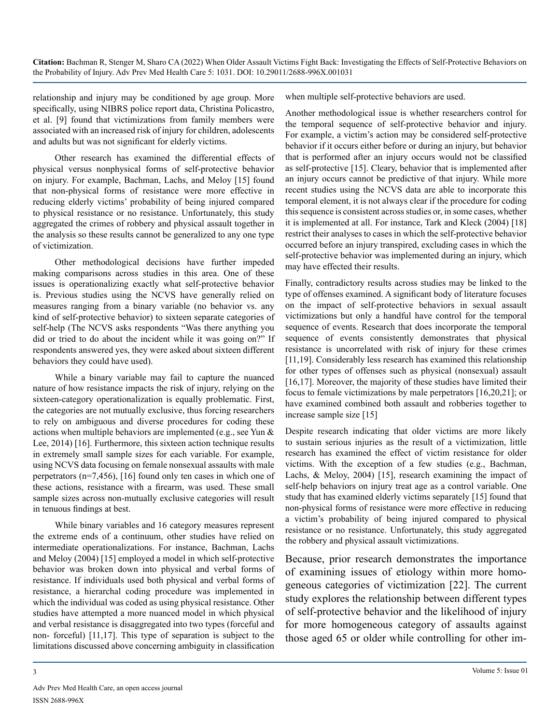relationship and injury may be conditioned by age group. More specifically, using NIBRS police report data, Christina Policastro, et al. [9] found that victimizations from family members were associated with an increased risk of injury for children, adolescents and adults but was not significant for elderly victims.

Other research has examined the differential effects of physical versus nonphysical forms of self-protective behavior on injury. For example, Bachman, Lachs, and Meloy [15] found that non-physical forms of resistance were more effective in reducing elderly victims' probability of being injured compared to physical resistance or no resistance. Unfortunately, this study aggregated the crimes of robbery and physical assault together in the analysis so these results cannot be generalized to any one type of victimization.

Other methodological decisions have further impeded making comparisons across studies in this area. One of these issues is operationalizing exactly what self-protective behavior is. Previous studies using the NCVS have generally relied on measures ranging from a binary variable (no behavior vs. any kind of self-protective behavior) to sixteen separate categories of self-help (The NCVS asks respondents "Was there anything you did or tried to do about the incident while it was going on?" If respondents answered yes, they were asked about sixteen different behaviors they could have used).

While a binary variable may fail to capture the nuanced nature of how resistance impacts the risk of injury, relying on the sixteen-category operationalization is equally problematic. First, the categories are not mutually exclusive, thus forcing researchers to rely on ambiguous and diverse procedures for coding these actions when multiple behaviors are implemented (e.g., see Yun & Lee, 2014) [16]. Furthermore, this sixteen action technique results in extremely small sample sizes for each variable. For example, using NCVS data focusing on female nonsexual assaults with male perpetrators (n=7,456), [16] found only ten cases in which one of these actions, resistance with a firearm, was used. These small sample sizes across non-mutually exclusive categories will result in tenuous findings at best.

While binary variables and 16 category measures represent the extreme ends of a continuum, other studies have relied on intermediate operationalizations. For instance, Bachman, Lachs and Meloy (2004) [15] employed a model in which self-protective behavior was broken down into physical and verbal forms of resistance. If individuals used both physical and verbal forms of resistance, a hierarchal coding procedure was implemented in which the individual was coded as using physical resistance. Other studies have attempted a more nuanced model in which physical and verbal resistance is disaggregated into two types (forceful and non- forceful) [11,17]. This type of separation is subject to the limitations discussed above concerning ambiguity in classification

when multiple self-protective behaviors are used.

Another methodological issue is whether researchers control for the temporal sequence of self-protective behavior and injury. For example, a victim's action may be considered self-protective behavior if it occurs either before or during an injury, but behavior that is performed after an injury occurs would not be classified as self-protective [15]. Cleary, behavior that is implemented after an injury occurs cannot be predictive of that injury. While more recent studies using the NCVS data are able to incorporate this temporal element, it is not always clear if the procedure for coding this sequence is consistent across studies or, in some cases, whether it is implemented at all. For instance, Tark and Kleck (2004) [18] restrict their analyses to cases in which the self-protective behavior occurred before an injury transpired, excluding cases in which the self-protective behavior was implemented during an injury, which may have effected their results.

Finally, contradictory results across studies may be linked to the type of offenses examined. A significant body of literature focuses on the impact of self-protective behaviors in sexual assault victimizations but only a handful have control for the temporal sequence of events. Research that does incorporate the temporal sequence of events consistently demonstrates that physical resistance is uncorrelated with risk of injury for these crimes [11,19]. Considerably less research has examined this relationship for other types of offenses such as physical (nonsexual) assault [16,17]. Moreover, the majority of these studies have limited their focus to female victimizations by male perpetrators [16,20,21]; or have examined combined both assault and robberies together to increase sample size [15]

Despite research indicating that older victims are more likely to sustain serious injuries as the result of a victimization, little research has examined the effect of victim resistance for older victims. With the exception of a few studies (e.g., Bachman, Lachs, & Meloy, 2004) [15], research examining the impact of self-help behaviors on injury treat age as a control variable. One study that has examined elderly victims separately [15] found that non-physical forms of resistance were more effective in reducing a victim's probability of being injured compared to physical resistance or no resistance. Unfortunately, this study aggregated the robbery and physical assault victimizations.

Because, prior research demonstrates the importance of examining issues of etiology within more homogeneous categories of victimization [22]. The current study explores the relationship between different types of self-protective behavior and the likelihood of injury for more homogeneous category of assaults against those aged 65 or older while controlling for other im-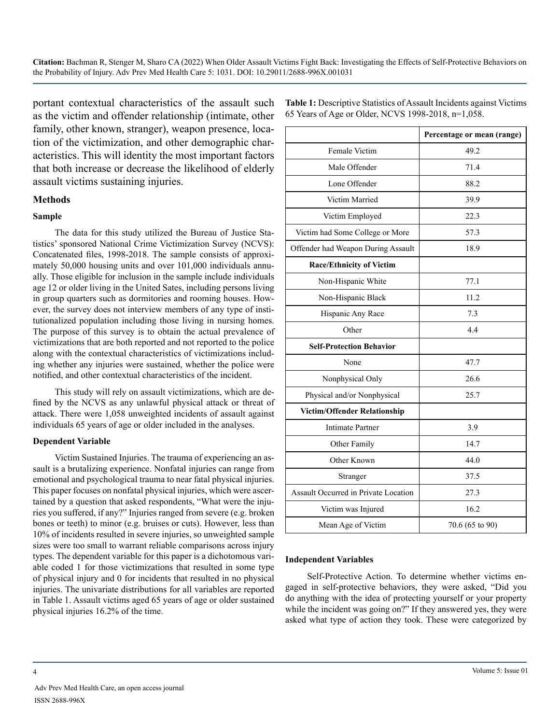portant contextual characteristics of the assault such as the victim and offender relationship (intimate, other family, other known, stranger), weapon presence, location of the victimization, and other demographic characteristics. This will identity the most important factors that both increase or decrease the likelihood of elderly assault victims sustaining injuries.

#### **Methods**

#### **Sample**

The data for this study utilized the Bureau of Justice Statistics' sponsored National Crime Victimization Survey (NCVS): Concatenated files, 1998-2018. The sample consists of approximately 50,000 housing units and over 101,000 individuals annually. Those eligible for inclusion in the sample include individuals age 12 or older living in the United Sates, including persons living in group quarters such as dormitories and rooming houses. However, the survey does not interview members of any type of institutionalized population including those living in nursing homes. The purpose of this survey is to obtain the actual prevalence of victimizations that are both reported and not reported to the police along with the contextual characteristics of victimizations including whether any injuries were sustained, whether the police were notified, and other contextual characteristics of the incident.

This study will rely on assault victimizations, which are defined by the NCVS as any unlawful physical attack or threat of attack. There were 1,058 unweighted incidents of assault against individuals 65 years of age or older included in the analyses.

#### **Dependent Variable**

Victim Sustained Injuries. The trauma of experiencing an assault is a brutalizing experience. Nonfatal injuries can range from emotional and psychological trauma to near fatal physical injuries. This paper focuses on nonfatal physical injuries, which were ascertained by a question that asked respondents, "What were the injuries you suffered, if any?" Injuries ranged from severe (e.g. broken bones or teeth) to minor (e.g. bruises or cuts). However, less than 10% of incidents resulted in severe injuries, so unweighted sample sizes were too small to warrant reliable comparisons across injury types. The dependent variable for this paper is a dichotomous variable coded 1 for those victimizations that resulted in some type of physical injury and 0 for incidents that resulted in no physical injuries. The univariate distributions for all variables are reported in Table 1. Assault victims aged 65 years of age or older sustained physical injuries 16.2% of the time.

**Table 1:** Descriptive Statistics of Assault Incidents against Victims 65 Years of Age or Older, NCVS 1998-2018, n=1,058.

|                                      | Percentage or mean (range) |  |  |
|--------------------------------------|----------------------------|--|--|
| Female Victim                        | 49.2                       |  |  |
| Male Offender                        | 71.4                       |  |  |
| Lone Offender                        | 88.2                       |  |  |
| Victim Married                       | 39.9                       |  |  |
| Victim Employed                      | 22.3                       |  |  |
| Victim had Some College or More      | 57.3                       |  |  |
| Offender had Weapon During Assault   | 18.9                       |  |  |
| <b>Race/Ethnicity of Victim</b>      |                            |  |  |
| Non-Hispanic White                   | 77.1                       |  |  |
| Non-Hispanic Black                   | 11.2                       |  |  |
| Hispanic Any Race                    | 7.3                        |  |  |
| Other                                | 4.4                        |  |  |
| <b>Self-Protection Behavior</b>      |                            |  |  |
| None                                 | 47.7                       |  |  |
| Nonphysical Only                     | 26.6                       |  |  |
| Physical and/or Nonphysical          | 25.7                       |  |  |
| Victim/Offender Relationship         |                            |  |  |
| <b>Intimate Partner</b>              | 3.9                        |  |  |
| Other Family                         | 14.7                       |  |  |
| Other Known                          | 44.0                       |  |  |
| Stranger                             | 37.5                       |  |  |
| Assault Occurred in Private Location | 27.3                       |  |  |
| Victim was Injured                   | 16.2                       |  |  |
| Mean Age of Victim                   | 70.6 (65 to 90)            |  |  |

#### **Independent Variables**

Self-Protective Action. To determine whether victims engaged in self-protective behaviors, they were asked, "Did you do anything with the idea of protecting yourself or your property while the incident was going on?" If they answered yes, they were asked what type of action they took. These were categorized by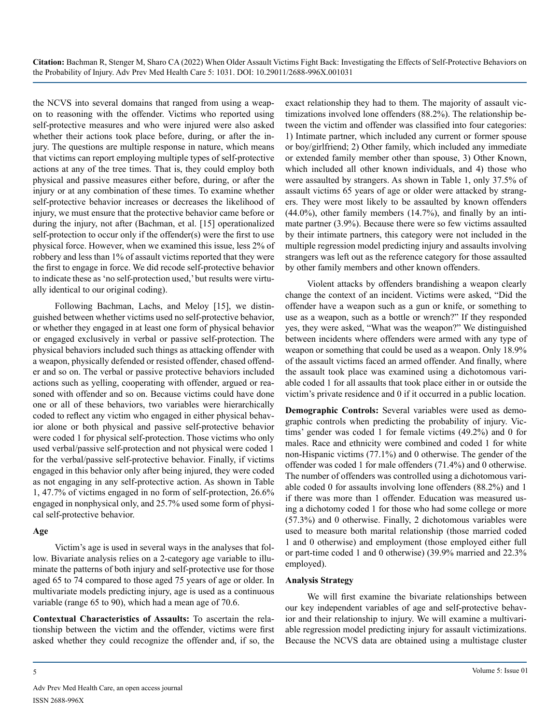the NCVS into several domains that ranged from using a weapon to reasoning with the offender. Victims who reported using self-protective measures and who were injured were also asked whether their actions took place before, during, or after the injury. The questions are multiple response in nature, which means that victims can report employing multiple types of self-protective actions at any of the tree times. That is, they could employ both physical and passive measures either before, during, or after the injury or at any combination of these times. To examine whether self-protective behavior increases or decreases the likelihood of injury, we must ensure that the protective behavior came before or during the injury, not after (Bachman, et al. [15] operationalized self-protection to occur only if the offender(s) were the first to use physical force. However, when we examined this issue, less 2% of robbery and less than 1% of assault victims reported that they were the first to engage in force. We did recode self-protective behavior to indicate these as 'no self-protection used,' but results were virtually identical to our original coding).

Following Bachman, Lachs, and Meloy [15], we distinguished between whether victims used no self-protective behavior, or whether they engaged in at least one form of physical behavior or engaged exclusively in verbal or passive self-protection. The physical behaviors included such things as attacking offender with a weapon, physically defended or resisted offender, chased offender and so on. The verbal or passive protective behaviors included actions such as yelling, cooperating with offender, argued or reasoned with offender and so on. Because victims could have done one or all of these behaviors, two variables were hierarchically coded to reflect any victim who engaged in either physical behavior alone or both physical and passive self-protective behavior were coded 1 for physical self-protection. Those victims who only used verbal/passive self-protection and not physical were coded 1 for the verbal/passive self-protective behavior. Finally, if victims engaged in this behavior only after being injured, they were coded as not engaging in any self-protective action. As shown in Table 1, 47.7% of victims engaged in no form of self-protection, 26.6% engaged in nonphysical only, and 25.7% used some form of physical self-protective behavior.

#### **Age**

Victim's age is used in several ways in the analyses that follow. Bivariate analysis relies on a 2-category age variable to illuminate the patterns of both injury and self-protective use for those aged 65 to 74 compared to those aged 75 years of age or older. In multivariate models predicting injury, age is used as a continuous variable (range 65 to 90), which had a mean age of 70.6.

**Contextual Characteristics of Assaults:** To ascertain the relationship between the victim and the offender, victims were first asked whether they could recognize the offender and, if so, the exact relationship they had to them. The majority of assault victimizations involved lone offenders (88.2%). The relationship between the victim and offender was classified into four categories: 1) Intimate partner, which included any current or former spouse or boy/girlfriend; 2) Other family, which included any immediate or extended family member other than spouse, 3) Other Known, which included all other known individuals, and 4) those who were assaulted by strangers. As shown in Table 1, only 37.5% of assault victims 65 years of age or older were attacked by strangers. They were most likely to be assaulted by known offenders (44.0%), other family members (14.7%), and finally by an intimate partner (3.9%). Because there were so few victims assaulted by their intimate partners, this category were not included in the multiple regression model predicting injury and assaults involving strangers was left out as the reference category for those assaulted by other family members and other known offenders.

Violent attacks by offenders brandishing a weapon clearly change the context of an incident. Victims were asked, "Did the offender have a weapon such as a gun or knife, or something to use as a weapon, such as a bottle or wrench?" If they responded yes, they were asked, "What was the weapon?" We distinguished between incidents where offenders were armed with any type of weapon or something that could be used as a weapon. Only 18.9% of the assault victims faced an armed offender. And finally, where the assault took place was examined using a dichotomous variable coded 1 for all assaults that took place either in or outside the victim's private residence and 0 if it occurred in a public location.

**Demographic Controls:** Several variables were used as demographic controls when predicting the probability of injury. Victims' gender was coded 1 for female victims (49.2%) and 0 for males. Race and ethnicity were combined and coded 1 for white non-Hispanic victims (77.1%) and 0 otherwise. The gender of the offender was coded 1 for male offenders (71.4%) and 0 otherwise. The number of offenders was controlled using a dichotomous variable coded 0 for assaults involving lone offenders (88.2%) and 1 if there was more than 1 offender. Education was measured using a dichotomy coded 1 for those who had some college or more (57.3%) and 0 otherwise. Finally, 2 dichotomous variables were used to measure both marital relationship (those married coded 1 and 0 otherwise) and employment (those employed either full or part-time coded 1 and 0 otherwise) (39.9% married and 22.3% employed).

#### **Analysis Strategy**

We will first examine the bivariate relationships between our key independent variables of age and self-protective behavior and their relationship to injury. We will examine a multivariable regression model predicting injury for assault victimizations. Because the NCVS data are obtained using a multistage cluster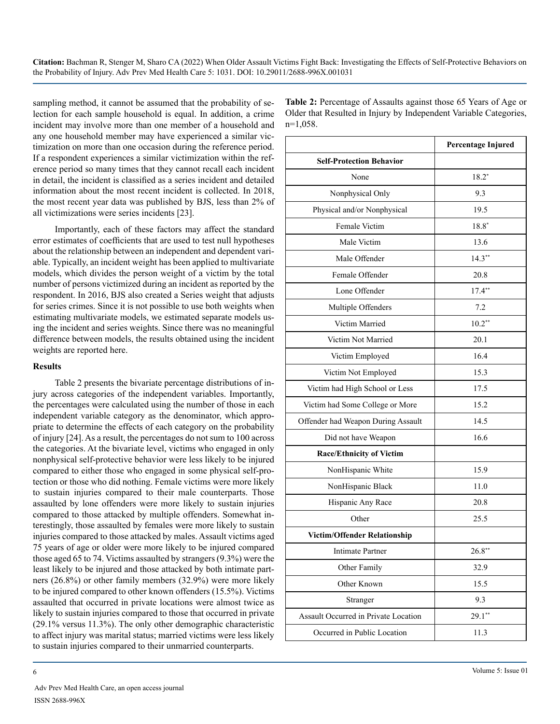sampling method, it cannot be assumed that the probability of selection for each sample household is equal. In addition, a crime incident may involve more than one member of a household and any one household member may have experienced a similar victimization on more than one occasion during the reference period. If a respondent experiences a similar victimization within the reference period so many times that they cannot recall each incident in detail, the incident is classified as a series incident and detailed information about the most recent incident is collected. In 2018, the most recent year data was published by BJS, less than 2% of all victimizations were series incidents [23].

Importantly, each of these factors may affect the standard error estimates of coefficients that are used to test null hypotheses about the relationship between an independent and dependent variable. Typically, an incident weight has been applied to multivariate models, which divides the person weight of a victim by the total number of persons victimized during an incident as reported by the respondent. In 2016, BJS also created a Series weight that adjusts for series crimes. Since it is not possible to use both weights when estimating multivariate models, we estimated separate models using the incident and series weights. Since there was no meaningful difference between models, the results obtained using the incident weights are reported here.

#### **Results**

Table 2 presents the bivariate percentage distributions of injury across categories of the independent variables. Importantly, the percentages were calculated using the number of those in each independent variable category as the denominator, which appropriate to determine the effects of each category on the probability of injury [24]. As a result, the percentages do not sum to 100 across the categories. At the bivariate level, victims who engaged in only nonphysical self-protective behavior were less likely to be injured compared to either those who engaged in some physical self-protection or those who did nothing. Female victims were more likely to sustain injuries compared to their male counterparts. Those assaulted by lone offenders were more likely to sustain injuries compared to those attacked by multiple offenders. Somewhat interestingly, those assaulted by females were more likely to sustain injuries compared to those attacked by males. Assault victims aged 75 years of age or older were more likely to be injured compared those aged 65 to 74. Victims assaulted by strangers (9.3%) were the least likely to be injured and those attacked by both intimate partners (26.8%) or other family members (32.9%) were more likely to be injured compared to other known offenders (15.5%). Victims assaulted that occurred in private locations were almost twice as likely to sustain injuries compared to those that occurred in private (29.1% versus 11.3%). The only other demographic characteristic to affect injury was marital status; married victims were less likely to sustain injuries compared to their unmarried counterparts.

**Table 2:** Percentage of Assaults against those 65 Years of Age or Older that Resulted in Injury by Independent Variable Categories, n=1,058.

|                                      | <b>Percentage Injured</b> |  |  |
|--------------------------------------|---------------------------|--|--|
| <b>Self-Protection Behavior</b>      |                           |  |  |
| None                                 | $18.2*$                   |  |  |
| Nonphysical Only                     | 9.3                       |  |  |
| Physical and/or Nonphysical          | 19.5                      |  |  |
| Female Victim                        | $18.8*$                   |  |  |
| Male Victim                          | 13.6                      |  |  |
| Male Offender                        | $14.3**$                  |  |  |
| Female Offender                      | 20.8                      |  |  |
| Lone Offender                        | $17.4**$                  |  |  |
| Multiple Offenders                   | 7.2                       |  |  |
| Victim Married                       | $10.2**$                  |  |  |
| Victim Not Married                   | 20.1                      |  |  |
| Victim Employed                      | 16.4                      |  |  |
| Victim Not Employed                  | 15.3                      |  |  |
| Victim had High School or Less       | 17.5                      |  |  |
| Victim had Some College or More      | 15.2                      |  |  |
| Offender had Weapon During Assault   | 14.5                      |  |  |
| Did not have Weapon                  | 16.6                      |  |  |
| <b>Race/Ethnicity of Victim</b>      |                           |  |  |
| NonHispanic White                    | 15.9                      |  |  |
| NonHispanic Black                    | 11.0                      |  |  |
| Hispanic Any Race                    | 20.8                      |  |  |
| Other                                | 25.5                      |  |  |
| Victim/Offender Relationship         |                           |  |  |
| <b>Intimate Partner</b>              | $26.8***$                 |  |  |
| Other Family                         | 32.9                      |  |  |
| Other Known                          | 15.5                      |  |  |
| Stranger                             | 9.3                       |  |  |
| Assault Occurred in Private Location | $29.1**$                  |  |  |
| Occurred in Public Location          | 11.3                      |  |  |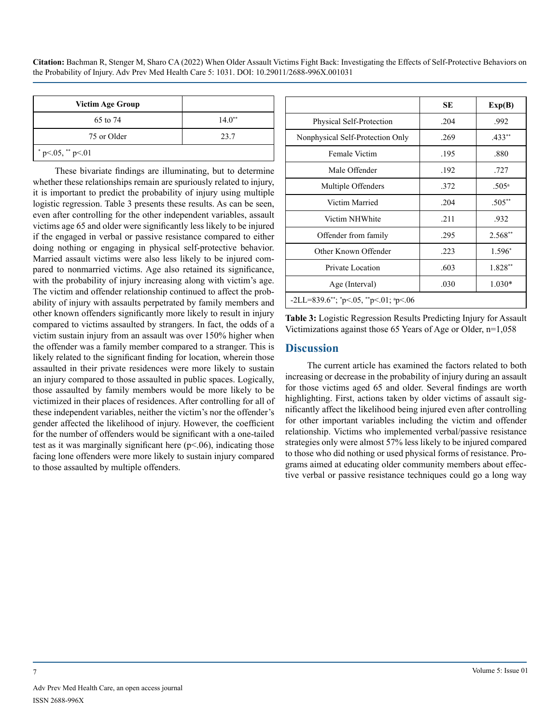| <b>Victim Age Group</b> |          |
|-------------------------|----------|
| 65 to 74                | $14.0**$ |
| 75 or Older             | 23.7     |
| * $p<.05$ , ** $p<.01$  |          |

These bivariate findings are illuminating, but to determine whether these relationships remain are spuriously related to injury, it is important to predict the probability of injury using multiple logistic regression. Table 3 presents these results. As can be seen, even after controlling for the other independent variables, assault victims age 65 and older were significantly less likely to be injured if the engaged in verbal or passive resistance compared to either doing nothing or engaging in physical self-protective behavior. Married assault victims were also less likely to be injured compared to nonmarried victims. Age also retained its significance, with the probability of injury increasing along with victim's age. The victim and offender relationship continued to affect the probability of injury with assaults perpetrated by family members and other known offenders significantly more likely to result in injury compared to victims assaulted by strangers. In fact, the odds of a victim sustain injury from an assault was over 150% higher when the offender was a family member compared to a stranger. This is likely related to the significant finding for location, wherein those assaulted in their private residences were more likely to sustain an injury compared to those assaulted in public spaces. Logically, those assaulted by family members would be more likely to be victimized in their places of residences. After controlling for all of these independent variables, neither the victim's nor the offender's gender affected the likelihood of injury. However, the coefficient for the number of offenders would be significant with a one-tailed test as it was marginally significant here  $(p<.06)$ , indicating those facing lone offenders were more likely to sustain injury compared to those assaulted by multiple offenders.

|                                            | SЕ   | Exp(B)            |
|--------------------------------------------|------|-------------------|
| Physical Self-Protection                   | .204 | .992              |
| Nonphysical Self-Protection Only           | .269 | $.433**$          |
| Female Victim                              | .195 | .880              |
| Male Offender                              | .192 | .727              |
| Multiple Offenders                         | .372 | .505 <sup>a</sup> |
| Victim Married                             | .204 | $.505**$          |
| Victim NHWhite                             | .211 | .932              |
| Offender from family                       | .295 | $2.568**$         |
| Other Known Offender                       | .223 | 1.596*            |
| Private Location                           | .603 | 1.828**           |
| Age (Interval)                             | .030 | $1.030*$          |
| $-2LL = 839.6$ **; *p<.05, **p<.01; *p<.06 |      |                   |

**Table 3:** Logistic Regression Results Predicting Injury for Assault Victimizations against those 65 Years of Age or Older, n=1,058

## **Discussion**

The current article has examined the factors related to both increasing or decrease in the probability of injury during an assault for those victims aged 65 and older. Several findings are worth highlighting. First, actions taken by older victims of assault significantly affect the likelihood being injured even after controlling for other important variables including the victim and offender relationship. Victims who implemented verbal/passive resistance strategies only were almost 57% less likely to be injured compared to those who did nothing or used physical forms of resistance. Programs aimed at educating older community members about effective verbal or passive resistance techniques could go a long way